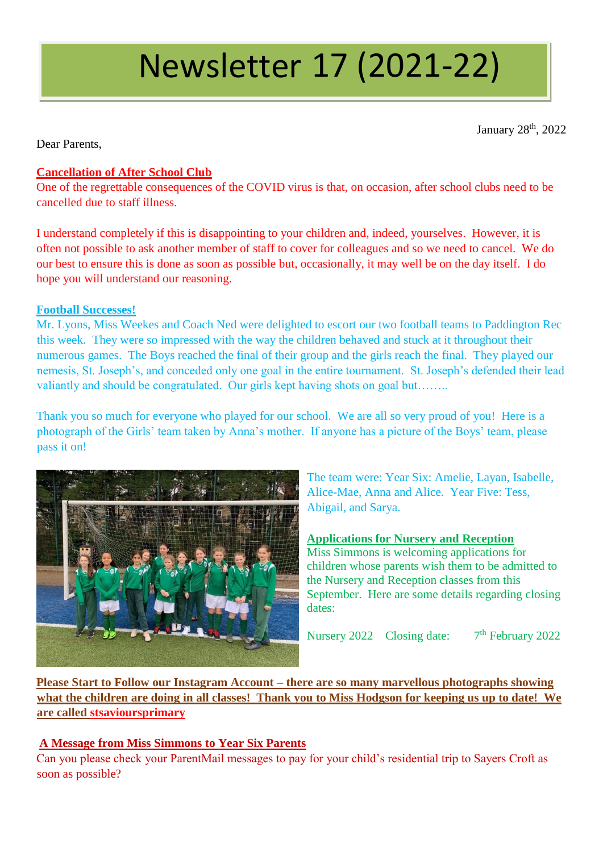# Newsletter 17 (2021-22)

January 28<sup>th</sup>, 2022

Dear Parents,

# **Cancellation of After School Club**

One of the regrettable consequences of the COVID virus is that, on occasion, after school clubs need to be cancelled due to staff illness.

I understand completely if this is disappointing to your children and, indeed, yourselves. However, it is often not possible to ask another member of staff to cover for colleagues and so we need to cancel. We do our best to ensure this is done as soon as possible but, occasionally, it may well be on the day itself. I do hope you will understand our reasoning.

### **Football Successes!**

Mr. Lyons, Miss Weekes and Coach Ned were delighted to escort our two football teams to Paddington Rec this week. They were so impressed with the way the children behaved and stuck at it throughout their numerous games. The Boys reached the final of their group and the girls reach the final. They played our nemesis, St. Joseph's, and conceded only one goal in the entire tournament. St. Joseph's defended their lead valiantly and should be congratulated. Our girls kept having shots on goal but…….

Thank you so much for everyone who played for our school. We are all so very proud of you! Here is a photograph of the Girls' team taken by Anna's mother. If anyone has a picture of the Boys' team, please pass it on!



The team were: Year Six: Amelie, Layan, Isabelle, Alice-Mae, Anna and Alice. Year Five: Tess, Abigail, and Sarya.

## **Applications for Nursery and Reception**

Miss Simmons is welcoming applications for children whose parents wish them to be admitted to the Nursery and Reception classes from this September. Here are some details regarding closing dates:

Nursery 2022 Closing date:  $7<sup>th</sup>$  February 2022

**Please Start to Follow our Instagram Account – there are so many marvellous photographs showing what the children are doing in all classes! Thank you to Miss Hodgson for keeping us up to date! We are called stsavioursprimary**

## **A Message from Miss Simmons to Year Six Parents**

Can you please check your ParentMail messages to pay for your child's residential trip to Sayers Croft as soon as possible?